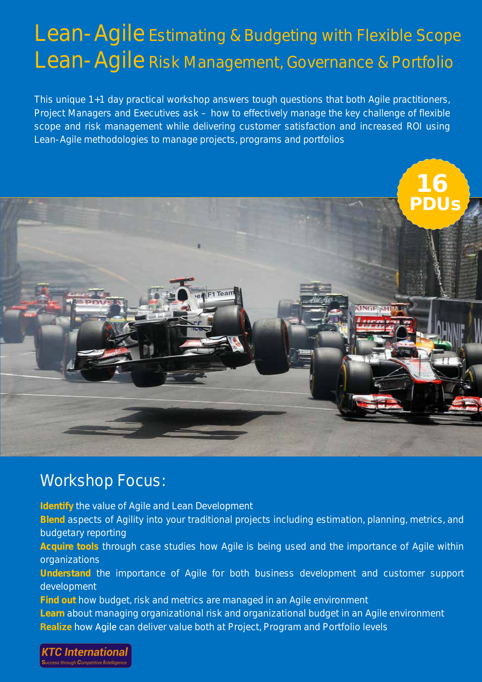# Lean-Agile Estimating & Budgeting with Flexible Scope Lean-Agile Risk Management, Governance & Portfolio

*This unique 1+1 day practical workshop answers tough questions that both Agile practitioners, Project Managers and Executives ask – how to effectively manage the key challenge of flexible scope and risk management while delivering customer satisfaction and increased ROI using Lean-Agile methodologies to manage projects, programs and portfolios*



### Workshop Focus:

**Identify** the value of Agile and Lean Development

**Blend** aspects of Agility into your traditional projects including estimation, planning, metrics, and budgetary reporting

**Acquire tools** through case studies how Agile is being used and the importance of Agile within organizations

**Understand** the importance of Agile for both business development and customer support development

**Find out** how budget, risk and metrics are managed in an Agile environment **Learn** about managing organizational risk and organizational budget in an Agile environment **Realize** how Agile can deliver value both at Project, Program and Portfolio levels

**KTC Internationa**  $\overline{\phantom{\mathbf{r}}}$ ess through  $\mathbf C$ ompetitive  $\overline{\mathbf I}$ ntellige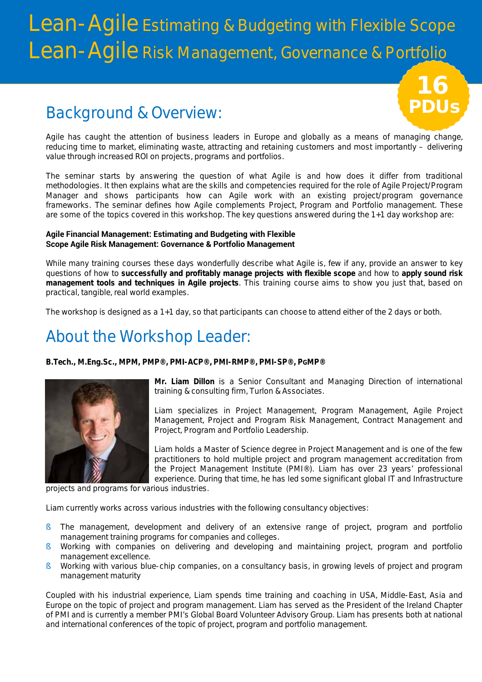# Lean-Agile Estimating & Budgeting with Flexible Scope Lean-Agile Risk Management, Governance & Portfolio

## Background & Overview:

Agile has caught the attention of business leaders in Europe and globally as a means of managing change, reducing time to market, eliminating waste, attracting and retaining customers and most importantly – delivering value through increased ROI on projects, programs and portfolios.

The seminar starts by answering the question of what Agile is and how does it differ from traditional methodologies. It then explains what are the skills and competencies required for the role of Agile Project/Program Manager and shows participants how can Agile work with an existing project/program governance frameworks. The seminar defines how Agile complements Project, Program and Portfolio management. These are some of the topics covered in this workshop. The key questions answered during the 1+1 day workshop are:

### **Agile Financial Management: Estimating and Budgeting with Flexible Scope Agile Risk Management: Governance & Portfolio Management**

While many training courses these days wonderfully describe what Agile is, few if any, provide an answer to key questions of how to *successfully and profitably manage projects with flexible scope* and how to *apply sound risk management tools and techniques in Agile projects*. This training course aims to show you just that, based on practical, tangible, real world examples.

The workshop is designed as a 1+1 day, so that participants can choose to attend either of the 2 days or both.

## About the Workshop Leader:

**B.Tech., M.Eng.Sc., MPM, PMP®, PMI-ACP®, PMI-RMP®, PMI-SP®, PGMP®**



**Mr. Liam Dillon** is a Senior Consultant and Managing Direction of international training & consulting firm, Turlon & Associates.

PDUs

16

Liam specializes in Project Management, Program Management, Agile Project Management, Project and Program Risk Management, Contract Management and Project, Program and Portfolio Leadership.

Liam holds a Master of Science degree in Project Management and is one of the few practitioners to hold multiple project and program management accreditation from the Project Management Institute (PMI®). Liam has over 23 years' professional experience. During that time, he has led some significant global IT and Infrastructure

projects and programs for various industries.

Liam currently works across various industries with the following consultancy objectives:

- § The management, development and delivery of an extensive range of project, program and portfolio management training programs for companies and colleges.
- § Working with companies on delivering and developing and maintaining project, program and portfolio management excellence.
- § Working with various blue-chip companies, on a consultancy basis, in growing levels of project and program management maturity

Coupled with his industrial experience, Liam spends time training and coaching in USA, Middle-East, Asia and Europe on the topic of project and program management. Liam has served as the President of the Ireland Chapter of PMI and is currently a member PMI's Global Board Volunteer Advisory Group. Liam has presents both at national and international conferences of the topic of project, program and portfolio management.